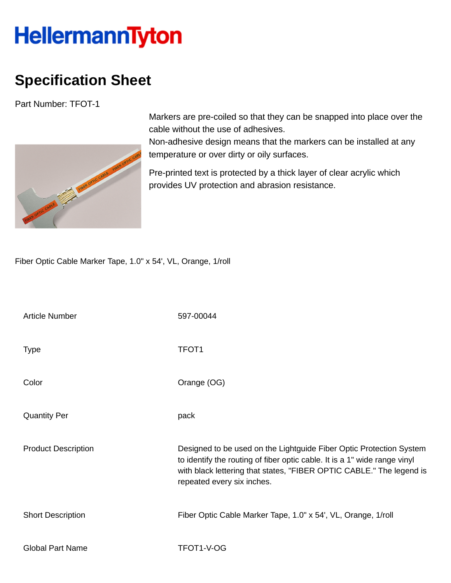## **HellermannTyton**

## **Specification Sheet**

Part Number: TFOT-1



Markers are pre-coiled so that they can be snapped into place over the cable without the use of adhesives.

Non-adhesive design means that the markers can be installed at any temperature or over dirty or oily surfaces.

Pre-printed text is protected by a thick layer of clear acrylic which provides UV protection and abrasion resistance.

Fiber Optic Cable Marker Tape, 1.0" x 54', VL, Orange, 1/roll

| <b>Article Number</b>      | 597-00044                                                                                                                                                                                                                                              |
|----------------------------|--------------------------------------------------------------------------------------------------------------------------------------------------------------------------------------------------------------------------------------------------------|
| <b>Type</b>                | TFOT <sub>1</sub>                                                                                                                                                                                                                                      |
| Color                      | Orange (OG)                                                                                                                                                                                                                                            |
| <b>Quantity Per</b>        | pack                                                                                                                                                                                                                                                   |
| <b>Product Description</b> | Designed to be used on the Lightguide Fiber Optic Protection System<br>to identify the routing of fiber optic cable. It is a 1" wide range vinyl<br>with black lettering that states, "FIBER OPTIC CABLE." The legend is<br>repeated every six inches. |
| <b>Short Description</b>   | Fiber Optic Cable Marker Tape, 1.0" x 54', VL, Orange, 1/roll                                                                                                                                                                                          |
| <b>Global Part Name</b>    | TFOT1-V-OG                                                                                                                                                                                                                                             |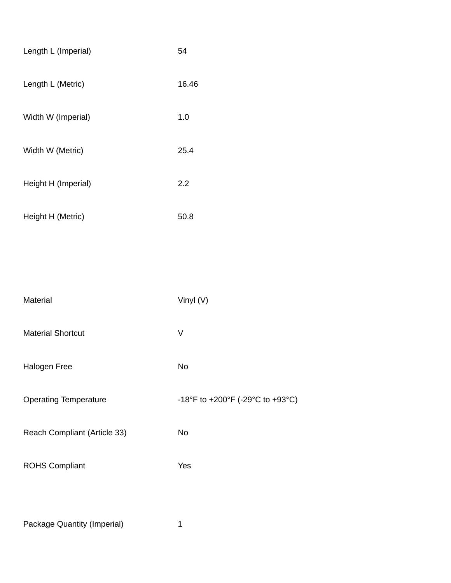| Length L (Imperial)          | 54                               |
|------------------------------|----------------------------------|
| Length L (Metric)            | 16.46                            |
| Width W (Imperial)           | 1.0                              |
| Width W (Metric)             | 25.4                             |
| Height H (Imperial)          | 2.2                              |
| Height H (Metric)            | 50.8                             |
|                              |                                  |
|                              |                                  |
| Material                     | Vinyl (V)                        |
| <b>Material Shortcut</b>     | V                                |
| Halogen Free                 | No                               |
| <b>Operating Temperature</b> | -18°F to +200°F (-29°C to +93°C) |
| Reach Compliant (Article 33) | No                               |
| <b>ROHS Compliant</b>        | Yes                              |
|                              |                                  |
|                              |                                  |

Package Quantity (Imperial) 1